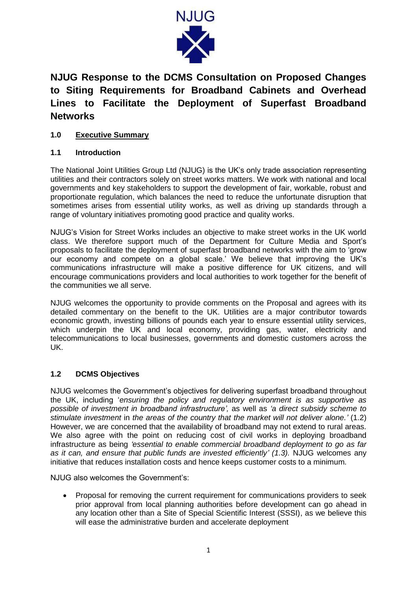

# **NJUG Response to the DCMS Consultation on Proposed Changes to Siting Requirements for Broadband Cabinets and Overhead Lines to Facilitate the Deployment of Superfast Broadband Networks**

# **1.0 Executive Summary**

## **1.1 Introduction**

The National Joint Utilities Group Ltd (NJUG) is the UK's only trade association representing utilities and their contractors solely on street works matters. We work with national and local governments and key stakeholders to support the development of fair, workable, robust and proportionate regulation, which balances the need to reduce the unfortunate disruption that sometimes arises from essential utility works, as well as driving up standards through a range of voluntary initiatives promoting good practice and quality works.

NJUG's Vision for Street Works includes an objective to make street works in the UK world class. We therefore support much of the Department for Culture Media and Sport's proposals to facilitate the deployment of superfast broadband networks with the aim to 'grow our economy and compete on a global scale.' We believe that improving the UK's communications infrastructure will make a positive difference for UK citizens, and will encourage communications providers and local authorities to work together for the benefit of the communities we all serve.

NJUG welcomes the opportunity to provide comments on the Proposal and agrees with its detailed commentary on the benefit to the UK. Utilities are a major contributor towards economic growth, investing billions of pounds each year to ensure essential utility services, which underpin the UK and local economy, providing gas, water, electricity and telecommunications to local businesses, governments and domestic customers across the UK.

## **1.2 DCMS Objectives**

NJUG welcomes the Government's objectives for delivering superfast broadband throughout the UK, including '*ensuring the policy and regulatory environment is as supportive as possible of investment in broadband infrastructure',* as well as *'a direct subsidy scheme to stimulate investment* in *the areas of the country that the market will not deliver alone.'* (1.2) However, we are concerned that the availability of broadband may not extend to rural areas. We also agree with the point on reducing cost of civil works in deploying broadband infrastructure as being *'essential to enable commercial broadband deployment to go as far as it can, and ensure that public funds are invested efficiently' (1.3).* NJUG welcomes any initiative that reduces installation costs and hence keeps customer costs to a minimum.

NJUG also welcomes the Government's:

 Proposal for removing the current requirement for communications providers to seek prior approval from local planning authorities before development can go ahead in any location other than a Site of Special Scientific Interest (SSSI), as we believe this will ease the administrative burden and accelerate deployment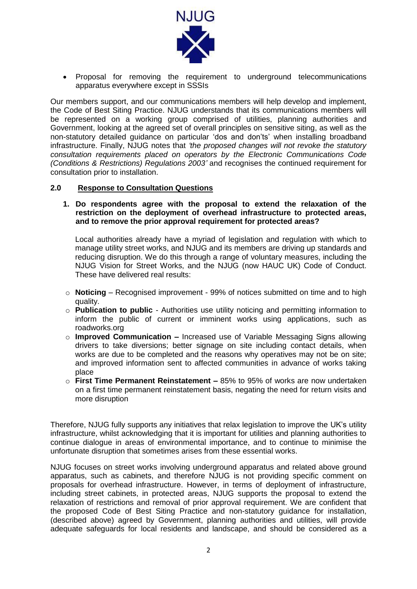

 Proposal for removing the requirement to underground telecommunications apparatus everywhere except in SSSIs

Our members support, and our communications members will help develop and implement, the Code of Best Siting Practice. NJUG understands that its communications members will be represented on a working group comprised of utilities, planning authorities and Government, looking at the agreed set of overall principles on sensitive siting, as well as the non-statutory detailed guidance on particular 'dos and don'ts' when installing broadband infrastructure. Finally, NJUG notes that *'the proposed changes will not revoke the statutory consultation requirements placed on operators by the Electronic Communications Code (Conditions & Restrictions) Regulations 2003'* and recognises the continued requirement for consultation prior to installation.

#### **2.0 Response to Consultation Questions**

**1. Do respondents agree with the proposal to extend the relaxation of the restriction on the deployment of overhead infrastructure to protected areas, and to remove the prior approval requirement for protected areas?**

Local authorities already have a myriad of legislation and regulation with which to manage utility street works, and NJUG and its members are driving up standards and reducing disruption. We do this through a range of voluntary measures, including the NJUG Vision for Street Works, and the NJUG (now HAUC UK) Code of Conduct. These have delivered real results:

- o **Noticing** Recognised improvement 99% of notices submitted on time and to high quality.
- o **Publication to public** Authorities use utility noticing and permitting information to inform the public of current or imminent works using applications, such as roadworks.org
- o **Improved Communication –** Increased use of Variable Messaging Signs allowing drivers to take diversions; better signage on site including contact details, when works are due to be completed and the reasons why operatives may not be on site; and improved information sent to affected communities in advance of works taking place
- o **First Time Permanent Reinstatement –** 85% to 95% of works are now undertaken on a first time permanent reinstatement basis, negating the need for return visits and more disruption

Therefore, NJUG fully supports any initiatives that relax legislation to improve the UK's utility infrastructure, whilst acknowledging that it is important for utilities and planning authorities to continue dialogue in areas of environmental importance, and to continue to minimise the unfortunate disruption that sometimes arises from these essential works.

NJUG focuses on street works involving underground apparatus and related above ground apparatus, such as cabinets, and therefore NJUG is not providing specific comment on proposals for overhead infrastructure. However, in terms of deployment of infrastructure, including street cabinets, in protected areas, NJUG supports the proposal to extend the relaxation of restrictions and removal of prior approval requirement. We are confident that the proposed Code of Best Siting Practice and non-statutory guidance for installation, (described above) agreed by Government, planning authorities and utilities, will provide adequate safeguards for local residents and landscape, and should be considered as a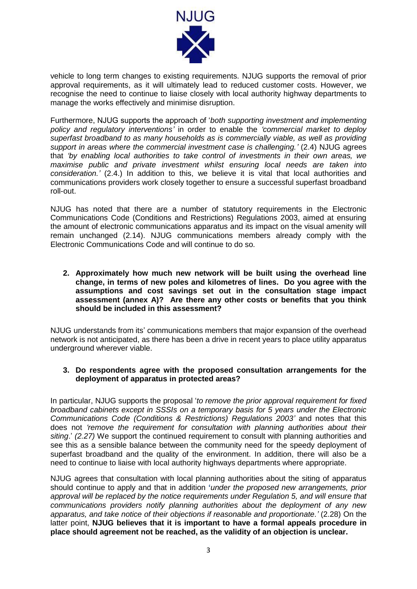

vehicle to long term changes to existing requirements. NJUG supports the removal of prior approval requirements, as it will ultimately lead to reduced customer costs. However, we recognise the need to continue to liaise closely with local authority highway departments to manage the works effectively and minimise disruption.

Furthermore, NJUG supports the approach of '*both supporting investment and implementing policy and regulatory interventions'* in order to enable the *'commercial market to deploy superfast broadband to as many households as is commercially viable, as well as providing support in areas where the commercial investment case is challenging.'* (2.4) NJUG agrees that *'by enabling local authorities to take control of investments in their own areas, we maximise public and private investment whilst ensuring local needs are taken into consideration.'* (2.4.) In addition to this, we believe it is vital that local authorities and communications providers work closely together to ensure a successful superfast broadband roll-out.

NJUG has noted that there are a number of statutory requirements in the Electronic Communications Code (Conditions and Restrictions) Regulations 2003, aimed at ensuring the amount of electronic communications apparatus and its impact on the visual amenity will remain unchanged (2.14). NJUG communications members already comply with the Electronic Communications Code and will continue to do so.

#### **2. Approximately how much new network will be built using the overhead line change, in terms of new poles and kilometres of lines. Do you agree with the assumptions and cost savings set out in the consultation stage impact assessment (annex A)? Are there any other costs or benefits that you think should be included in this assessment?**

NJUG understands from its' communications members that major expansion of the overhead network is not anticipated, as there has been a drive in recent years to place utility apparatus underground wherever viable.

### **3. Do respondents agree with the proposed consultation arrangements for the deployment of apparatus in protected areas?**

In particular, NJUG supports the proposal '*to remove the prior approval requirement for fixed broadband cabinets except in SSSIs on a temporary basis for 5 years under the Electronic Communications Code (Conditions & Restrictions) Regulations 2003'* and notes that this does not *'remove the requirement for consultation with planning authorities about their siting*.' *(2.27)* We support the continued requirement to consult with planning authorities and see this as a sensible balance between the community need for the speedy deployment of superfast broadband and the quality of the environment. In addition, there will also be a need to continue to liaise with local authority highways departments where appropriate.

NJUG agrees that consultation with local planning authorities about the siting of apparatus should continue to apply and that in addition **'***under the proposed new arrangements, prior approval will be replaced by the notice requirements under Regulation 5, and will ensure that communications providers notify planning authorities about the deployment of any new apparatus, and take notice of their objections if reasonable and proportionate.'* (2.28) On the latter point, **NJUG believes that it is important to have a formal appeals procedure in place should agreement not be reached, as the validity of an objection is unclear.**